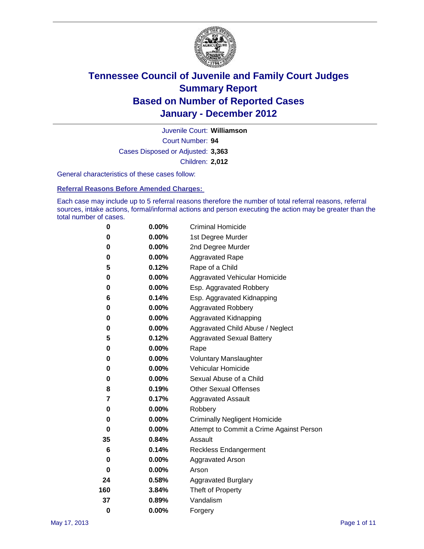

Court Number: **94** Juvenile Court: **Williamson** Cases Disposed or Adjusted: **3,363** Children: **2,012**

General characteristics of these cases follow:

**Referral Reasons Before Amended Charges:** 

Each case may include up to 5 referral reasons therefore the number of total referral reasons, referral sources, intake actions, formal/informal actions and person executing the action may be greater than the total number of cases.

| 0        | $0.00\%$ | <b>Criminal Homicide</b>                 |
|----------|----------|------------------------------------------|
| 0        | 0.00%    | 1st Degree Murder                        |
| 0        | $0.00\%$ | 2nd Degree Murder                        |
| 0        | 0.00%    | <b>Aggravated Rape</b>                   |
| 5        | 0.12%    | Rape of a Child                          |
| 0        | 0.00%    | Aggravated Vehicular Homicide            |
| 0        | 0.00%    | Esp. Aggravated Robbery                  |
| 6        | 0.14%    | Esp. Aggravated Kidnapping               |
| 0        | $0.00\%$ | <b>Aggravated Robbery</b>                |
| 0        | $0.00\%$ | Aggravated Kidnapping                    |
| 0        | 0.00%    | Aggravated Child Abuse / Neglect         |
| 5        | 0.12%    | <b>Aggravated Sexual Battery</b>         |
| 0        | 0.00%    | Rape                                     |
| 0        | $0.00\%$ | <b>Voluntary Manslaughter</b>            |
| 0        | 0.00%    | Vehicular Homicide                       |
| 0        | $0.00\%$ | Sexual Abuse of a Child                  |
| 8        | 0.19%    | <b>Other Sexual Offenses</b>             |
| 7        | 0.17%    | <b>Aggravated Assault</b>                |
| 0        | $0.00\%$ | Robbery                                  |
| 0        | 0.00%    | <b>Criminally Negligent Homicide</b>     |
| 0        | $0.00\%$ | Attempt to Commit a Crime Against Person |
| 35       | 0.84%    | Assault                                  |
| 6        | 0.14%    | <b>Reckless Endangerment</b>             |
| 0        | 0.00%    | <b>Aggravated Arson</b>                  |
| 0        | 0.00%    | Arson                                    |
| 24       | 0.58%    | <b>Aggravated Burglary</b>               |
| 160      | 3.84%    | Theft of Property                        |
| 37       | 0.89%    | Vandalism                                |
| $\bf{0}$ | 0.00%    | Forgery                                  |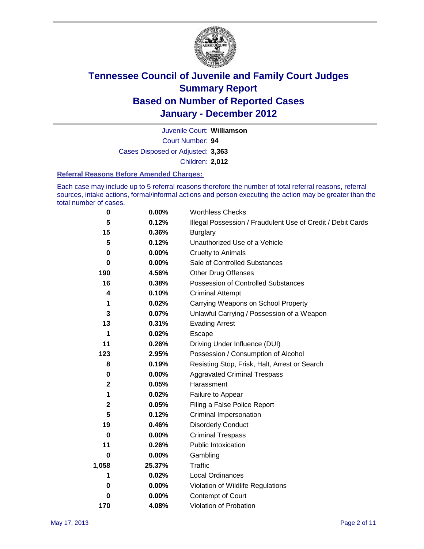

Court Number: **94** Juvenile Court: **Williamson** Cases Disposed or Adjusted: **3,363** Children: **2,012**

#### **Referral Reasons Before Amended Charges:**

Each case may include up to 5 referral reasons therefore the number of total referral reasons, referral sources, intake actions, formal/informal actions and person executing the action may be greater than the total number of cases.

| 0     | 0.00%    | <b>Worthless Checks</b>                                     |  |  |
|-------|----------|-------------------------------------------------------------|--|--|
| 5     | 0.12%    | Illegal Possession / Fraudulent Use of Credit / Debit Cards |  |  |
| 15    | 0.36%    | <b>Burglary</b>                                             |  |  |
| 5     | 0.12%    | Unauthorized Use of a Vehicle                               |  |  |
| 0     | $0.00\%$ | <b>Cruelty to Animals</b>                                   |  |  |
| 0     | $0.00\%$ | Sale of Controlled Substances                               |  |  |
| 190   | 4.56%    | <b>Other Drug Offenses</b>                                  |  |  |
| 16    | 0.38%    | Possession of Controlled Substances                         |  |  |
| 4     | 0.10%    | <b>Criminal Attempt</b>                                     |  |  |
| 1     | 0.02%    | Carrying Weapons on School Property                         |  |  |
| 3     | 0.07%    | Unlawful Carrying / Possession of a Weapon                  |  |  |
| 13    | 0.31%    | <b>Evading Arrest</b>                                       |  |  |
| 1     | 0.02%    | Escape                                                      |  |  |
| 11    | 0.26%    | Driving Under Influence (DUI)                               |  |  |
| 123   | 2.95%    | Possession / Consumption of Alcohol                         |  |  |
| 8     | 0.19%    | Resisting Stop, Frisk, Halt, Arrest or Search               |  |  |
| 0     | $0.00\%$ | <b>Aggravated Criminal Trespass</b>                         |  |  |
| 2     | 0.05%    | Harassment                                                  |  |  |
| 1     | 0.02%    | Failure to Appear                                           |  |  |
| 2     | 0.05%    | Filing a False Police Report                                |  |  |
| 5     | 0.12%    | Criminal Impersonation                                      |  |  |
| 19    | 0.46%    | <b>Disorderly Conduct</b>                                   |  |  |
| 0     | 0.00%    | <b>Criminal Trespass</b>                                    |  |  |
| 11    | 0.26%    | <b>Public Intoxication</b>                                  |  |  |
| 0     | 0.00%    | Gambling                                                    |  |  |
| 1,058 | 25.37%   | <b>Traffic</b>                                              |  |  |
| 1     | 0.02%    | <b>Local Ordinances</b>                                     |  |  |
| 0     | 0.00%    | Violation of Wildlife Regulations                           |  |  |
| 0     | 0.00%    | Contempt of Court                                           |  |  |
| 170   | 4.08%    | Violation of Probation                                      |  |  |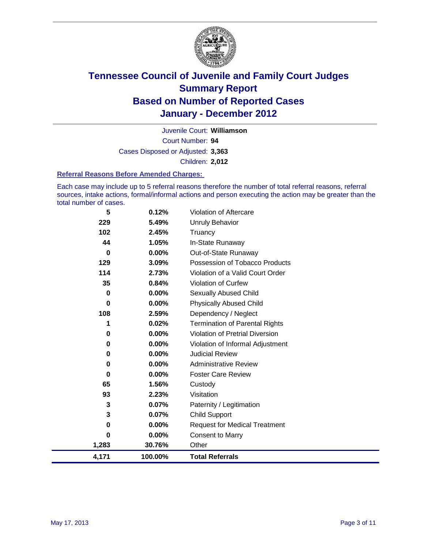

Court Number: **94** Juvenile Court: **Williamson** Cases Disposed or Adjusted: **3,363** Children: **2,012**

#### **Referral Reasons Before Amended Charges:**

Each case may include up to 5 referral reasons therefore the number of total referral reasons, referral sources, intake actions, formal/informal actions and person executing the action may be greater than the total number of cases.

| 5        | 0.12%   | Violation of Aftercare                 |
|----------|---------|----------------------------------------|
| 229      | 5.49%   | Unruly Behavior                        |
| 102      | 2.45%   | Truancy                                |
| 44       | 1.05%   | In-State Runaway                       |
| $\bf{0}$ | 0.00%   | Out-of-State Runaway                   |
| 129      | 3.09%   | Possession of Tobacco Products         |
| 114      | 2.73%   | Violation of a Valid Court Order       |
| 35       | 0.84%   | <b>Violation of Curfew</b>             |
| 0        | 0.00%   | Sexually Abused Child                  |
| 0        | 0.00%   | <b>Physically Abused Child</b>         |
| 108      | 2.59%   | Dependency / Neglect                   |
| 1        | 0.02%   | <b>Termination of Parental Rights</b>  |
| 0        | 0.00%   | <b>Violation of Pretrial Diversion</b> |
| 0        | 0.00%   | Violation of Informal Adjustment       |
| 0        | 0.00%   | <b>Judicial Review</b>                 |
| 0        | 0.00%   | <b>Administrative Review</b>           |
| 0        | 0.00%   | <b>Foster Care Review</b>              |
| 65       | 1.56%   | Custody                                |
| 93       | 2.23%   | Visitation                             |
| 3        | 0.07%   | Paternity / Legitimation               |
| 3        | 0.07%   | <b>Child Support</b>                   |
| 0        | 0.00%   | <b>Request for Medical Treatment</b>   |
| 0        | 0.00%   | <b>Consent to Marry</b>                |
| 1,283    | 30.76%  | Other                                  |
| 4,171    | 100.00% | <b>Total Referrals</b>                 |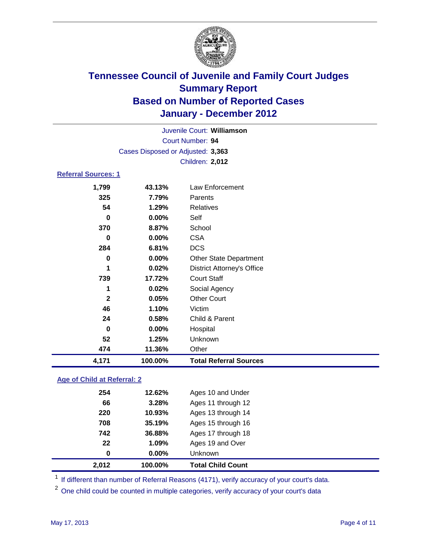

| Juvenile Court: Williamson |                                   |                                   |  |  |
|----------------------------|-----------------------------------|-----------------------------------|--|--|
| Court Number: 94           |                                   |                                   |  |  |
|                            | Cases Disposed or Adjusted: 3,363 |                                   |  |  |
|                            |                                   | Children: 2,012                   |  |  |
| <b>Referral Sources: 1</b> |                                   |                                   |  |  |
| 1,799                      | 43.13%                            | Law Enforcement                   |  |  |
| 325                        | 7.79%                             | Parents                           |  |  |
| 54                         | 1.29%                             | <b>Relatives</b>                  |  |  |
| 0                          | $0.00\%$                          | Self                              |  |  |
| 370                        | 8.87%                             | School                            |  |  |
| $\bf{0}$                   | $0.00\%$                          | <b>CSA</b>                        |  |  |
| 284                        | 6.81%                             | <b>DCS</b>                        |  |  |
| 0                          | $0.00\%$                          | <b>Other State Department</b>     |  |  |
| 1                          | 0.02%                             | <b>District Attorney's Office</b> |  |  |
| 739                        | 17.72%                            | <b>Court Staff</b>                |  |  |
| 1                          | 0.02%                             | Social Agency                     |  |  |
| $\mathbf{2}$               | 0.05%                             | <b>Other Court</b>                |  |  |
| 46                         | 1.10%                             | Victim                            |  |  |
| 24                         | 0.58%                             | Child & Parent                    |  |  |
| $\bf{0}$                   | $0.00\%$                          | Hospital                          |  |  |
| 52                         | 1.25%                             | Unknown                           |  |  |
| 474                        | 11.36%                            | Other                             |  |  |
| 4,171                      | 100.00%                           | <b>Total Referral Sources</b>     |  |  |

### **Age of Child at Referral: 2**

| 742<br>22<br>0 | 36.88%<br>1.09%<br>$0.00\%$ | Ages 17 through 18<br>Ages 19 and Over<br><b>Unknown</b> |
|----------------|-----------------------------|----------------------------------------------------------|
|                |                             |                                                          |
|                |                             |                                                          |
|                |                             |                                                          |
| 708            | 35.19%                      | Ages 15 through 16                                       |
| 220            | 10.93%                      | Ages 13 through 14                                       |
| 66             | 3.28%                       | Ages 11 through 12                                       |
| 254            | 12.62%                      | Ages 10 and Under                                        |
|                |                             |                                                          |

<sup>1</sup> If different than number of Referral Reasons (4171), verify accuracy of your court's data.

<sup>2</sup> One child could be counted in multiple categories, verify accuracy of your court's data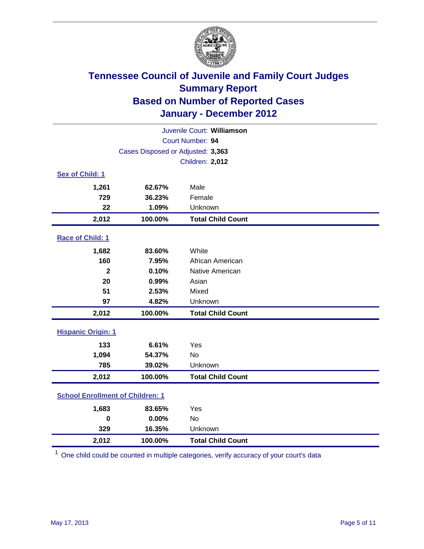

| Juvenile Court: Williamson              |                                   |                          |  |  |
|-----------------------------------------|-----------------------------------|--------------------------|--|--|
| Court Number: 94                        |                                   |                          |  |  |
|                                         | Cases Disposed or Adjusted: 3,363 |                          |  |  |
|                                         |                                   | Children: 2,012          |  |  |
| Sex of Child: 1                         |                                   |                          |  |  |
| 1,261                                   | 62.67%                            | Male                     |  |  |
| 729                                     | 36.23%                            | Female                   |  |  |
| 22                                      | 1.09%                             | Unknown                  |  |  |
| 2,012                                   | 100.00%                           | <b>Total Child Count</b> |  |  |
| Race of Child: 1                        |                                   |                          |  |  |
| 1,682                                   | 83.60%                            | White                    |  |  |
| 160                                     | 7.95%                             | African American         |  |  |
| $\overline{\mathbf{2}}$                 | 0.10%                             | Native American          |  |  |
| 20                                      | 0.99%                             | Asian                    |  |  |
| 51                                      | 2.53%                             | Mixed                    |  |  |
| 97                                      | 4.82%                             | Unknown                  |  |  |
| 2,012                                   | 100.00%                           | <b>Total Child Count</b> |  |  |
| <b>Hispanic Origin: 1</b>               |                                   |                          |  |  |
| 133                                     | 6.61%                             | Yes                      |  |  |
| 1,094                                   | 54.37%                            | <b>No</b>                |  |  |
| 785                                     | 39.02%                            | Unknown                  |  |  |
| 2,012                                   | 100.00%                           | <b>Total Child Count</b> |  |  |
| <b>School Enrollment of Children: 1</b> |                                   |                          |  |  |
| 1,683                                   | 83.65%                            | Yes                      |  |  |
| 0                                       | 0.00%                             | <b>No</b>                |  |  |
| 329                                     | 16.35%                            | Unknown                  |  |  |
| 2,012                                   | 100.00%                           | <b>Total Child Count</b> |  |  |

<sup>1</sup> One child could be counted in multiple categories, verify accuracy of your court's data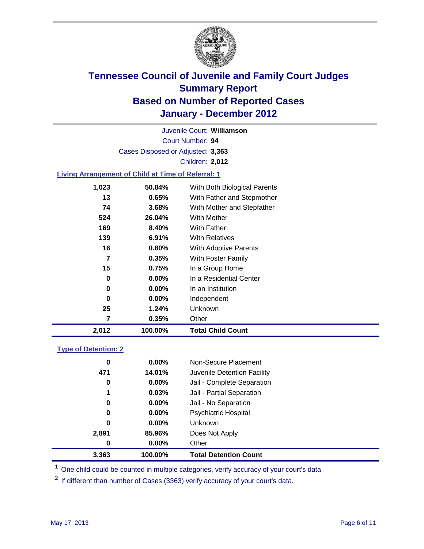

Court Number: **94** Juvenile Court: **Williamson** Cases Disposed or Adjusted: **3,363** Children: **2,012**

### **Living Arrangement of Child at Time of Referral: 1**

| 2,012 | 100.00%  | <b>Total Child Count</b>     |
|-------|----------|------------------------------|
| 7     | 0.35%    | Other                        |
| 25    | $1.24\%$ | Unknown                      |
| 0     | $0.00\%$ | Independent                  |
| 0     | $0.00\%$ | In an Institution            |
| 0     | $0.00\%$ | In a Residential Center      |
| 15    | 0.75%    | In a Group Home              |
| 7     | 0.35%    | With Foster Family           |
| 16    | 0.80%    | With Adoptive Parents        |
| 139   | $6.91\%$ | <b>With Relatives</b>        |
| 169   | 8.40%    | <b>With Father</b>           |
| 524   | 26.04%   | <b>With Mother</b>           |
| 74    | 3.68%    | With Mother and Stepfather   |
| 13    | 0.65%    | With Father and Stepmother   |
| 1,023 | 50.84%   | With Both Biological Parents |
|       |          |                              |

#### **Type of Detention: 2**

| 3,363    | 100.00%  | <b>Total Detention Count</b> |
|----------|----------|------------------------------|
| $\bf{0}$ | $0.00\%$ | Other                        |
| 2,891    | 85.96%   | Does Not Apply               |
| 0        | $0.00\%$ | Unknown                      |
| 0        | $0.00\%$ | <b>Psychiatric Hospital</b>  |
| 0        | 0.00%    | Jail - No Separation         |
| 1        | 0.03%    | Jail - Partial Separation    |
| 0        | 0.00%    | Jail - Complete Separation   |
| 471      | 14.01%   | Juvenile Detention Facility  |
| 0        | $0.00\%$ | Non-Secure Placement         |
|          |          |                              |

<sup>1</sup> One child could be counted in multiple categories, verify accuracy of your court's data

<sup>2</sup> If different than number of Cases (3363) verify accuracy of your court's data.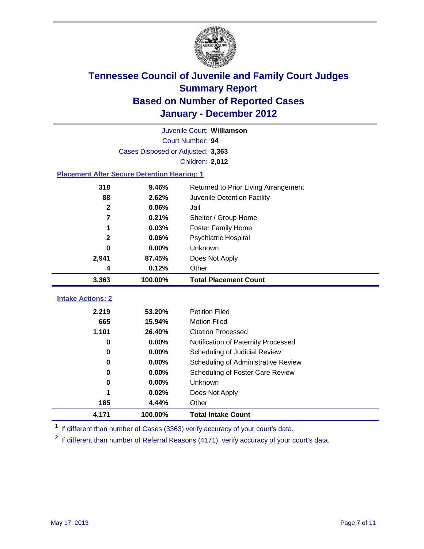

|                          | Juvenile Court: Williamson                         |                                      |  |  |  |
|--------------------------|----------------------------------------------------|--------------------------------------|--|--|--|
|                          | Court Number: 94                                   |                                      |  |  |  |
|                          | Cases Disposed or Adjusted: 3,363                  |                                      |  |  |  |
|                          |                                                    | <b>Children: 2,012</b>               |  |  |  |
|                          | <b>Placement After Secure Detention Hearing: 1</b> |                                      |  |  |  |
| 318                      | 9.46%                                              | Returned to Prior Living Arrangement |  |  |  |
| 88                       | 2.62%                                              | Juvenile Detention Facility          |  |  |  |
| $\mathbf{2}$             | 0.06%                                              | Jail                                 |  |  |  |
| $\overline{7}$           | 0.21%                                              | Shelter / Group Home                 |  |  |  |
| 1                        | 0.03%                                              | <b>Foster Family Home</b>            |  |  |  |
| $\mathbf{2}$             | 0.06%                                              | Psychiatric Hospital                 |  |  |  |
| O                        | $0.00\%$                                           | Unknown                              |  |  |  |
| 2,941                    | 87.45%                                             | Does Not Apply                       |  |  |  |
| 4                        | 0.12%                                              | Other                                |  |  |  |
| 3,363                    | 100.00%                                            | <b>Total Placement Count</b>         |  |  |  |
| <b>Intake Actions: 2</b> |                                                    |                                      |  |  |  |
| 2,219                    | 53.20%                                             | <b>Petition Filed</b>                |  |  |  |
| 665                      | 15.94%                                             | <b>Motion Filed</b>                  |  |  |  |
| 1,101                    | 26.40%                                             | <b>Citation Processed</b>            |  |  |  |
| 0                        | 0.00%                                              | Notification of Paternity Processed  |  |  |  |
| $\bf{0}$                 | 0.00%                                              | Scheduling of Judicial Review        |  |  |  |
| 0                        | 0.00%                                              | Scheduling of Administrative Review  |  |  |  |
| 0                        | 0.00%                                              | Scheduling of Foster Care Review     |  |  |  |
| 0                        | 0.00%                                              | Unknown                              |  |  |  |
| 1                        | 0.02%                                              | Does Not Apply                       |  |  |  |
| 185                      | 4.44%                                              | Other                                |  |  |  |
|                          | 100.00%                                            | <b>Total Intake Count</b>            |  |  |  |
| 4,171                    |                                                    |                                      |  |  |  |

<sup>1</sup> If different than number of Cases (3363) verify accuracy of your court's data.

<sup>2</sup> If different than number of Referral Reasons (4171), verify accuracy of your court's data.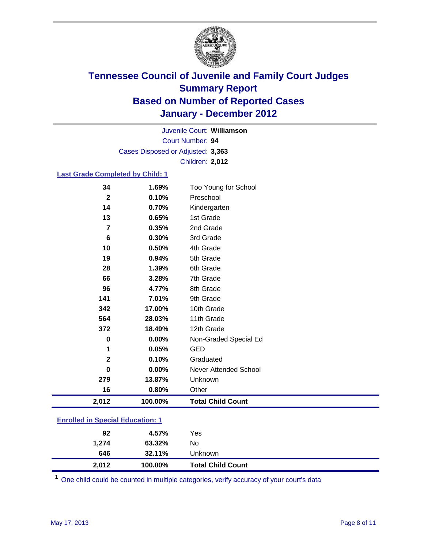

Court Number: **94** Juvenile Court: **Williamson** Cases Disposed or Adjusted: **3,363** Children: **2,012**

### **Last Grade Completed by Child: 1**

| 34                                      | 1.69%   | Too Young for School         |  |
|-----------------------------------------|---------|------------------------------|--|
| $\mathbf{2}$                            | 0.10%   | Preschool                    |  |
| 14                                      | 0.70%   | Kindergarten                 |  |
| 13                                      | 0.65%   | 1st Grade                    |  |
| $\overline{7}$                          | 0.35%   | 2nd Grade                    |  |
| 6                                       | 0.30%   | 3rd Grade                    |  |
| 10                                      | 0.50%   | 4th Grade                    |  |
| 19                                      | 0.94%   | 5th Grade                    |  |
| 28                                      | 1.39%   | 6th Grade                    |  |
| 66                                      | 3.28%   | 7th Grade                    |  |
| 96                                      | 4.77%   | 8th Grade                    |  |
| 141                                     | 7.01%   | 9th Grade                    |  |
| 342                                     | 17.00%  | 10th Grade                   |  |
| 564                                     | 28.03%  | 11th Grade                   |  |
| 372                                     | 18.49%  | 12th Grade                   |  |
| $\bf{0}$                                | 0.00%   | Non-Graded Special Ed        |  |
| 1                                       | 0.05%   | <b>GED</b>                   |  |
| $\mathbf 2$                             | 0.10%   | Graduated                    |  |
| $\bf{0}$                                | 0.00%   | <b>Never Attended School</b> |  |
| 279                                     | 13.87%  | Unknown                      |  |
| 16                                      | 0.80%   | Other                        |  |
| 2,012                                   | 100.00% | <b>Total Child Count</b>     |  |
| <b>Enrolled in Special Education: 1</b> |         |                              |  |

| 2,012 | 100.00% | <b>Total Child Count</b> |
|-------|---------|--------------------------|
| 646   | 32.11%  | Unknown                  |
| 1,274 | 63.32%  | No                       |
| 92    | 4.57%   | Yes                      |
|       |         |                          |

One child could be counted in multiple categories, verify accuracy of your court's data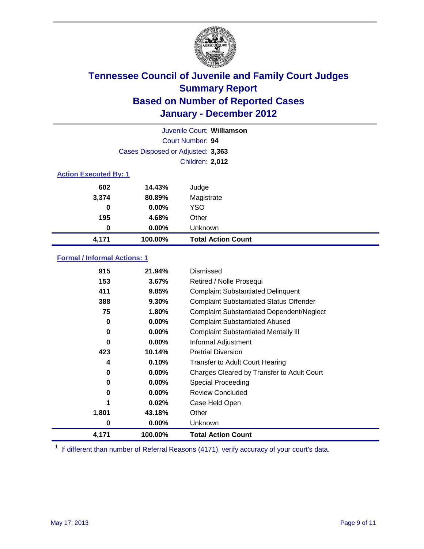

| Juvenile Court: Williamson   |                                   |                           |  |  |  |
|------------------------------|-----------------------------------|---------------------------|--|--|--|
|                              | Court Number: 94                  |                           |  |  |  |
|                              | Cases Disposed or Adjusted: 3,363 |                           |  |  |  |
|                              | Children: 2,012                   |                           |  |  |  |
| <b>Action Executed By: 1</b> |                                   |                           |  |  |  |
| 602                          | 14.43%                            | Judge                     |  |  |  |
| 3,374                        | 80.89%                            | Magistrate                |  |  |  |
| 0                            | $0.00\%$                          | <b>YSO</b>                |  |  |  |
| 195                          | 4.68%                             | Other                     |  |  |  |
| 0                            | 0.00%                             | Unknown                   |  |  |  |
| 4,171                        | 100.00%                           | <b>Total Action Count</b> |  |  |  |

### **Formal / Informal Actions: 1**

| 915      | 21.94%   | Dismissed                                        |
|----------|----------|--------------------------------------------------|
| 153      | 3.67%    | Retired / Nolle Prosequi                         |
| 411      | 9.85%    | <b>Complaint Substantiated Delinquent</b>        |
| 388      | 9.30%    | <b>Complaint Substantiated Status Offender</b>   |
| 75       | 1.80%    | <b>Complaint Substantiated Dependent/Neglect</b> |
| 0        | $0.00\%$ | <b>Complaint Substantiated Abused</b>            |
| 0        | $0.00\%$ | <b>Complaint Substantiated Mentally III</b>      |
| $\bf{0}$ | $0.00\%$ | Informal Adjustment                              |
| 423      | 10.14%   | <b>Pretrial Diversion</b>                        |
| 4        | 0.10%    | <b>Transfer to Adult Court Hearing</b>           |
| 0        | $0.00\%$ | Charges Cleared by Transfer to Adult Court       |
| 0        | $0.00\%$ | Special Proceeding                               |
| 0        | $0.00\%$ | <b>Review Concluded</b>                          |
| 1        | 0.02%    | Case Held Open                                   |
| 1,801    | 43.18%   | Other                                            |
| 0        | 0.00%    | Unknown                                          |
| 4,171    | 100.00%  | <b>Total Action Count</b>                        |

<sup>1</sup> If different than number of Referral Reasons (4171), verify accuracy of your court's data.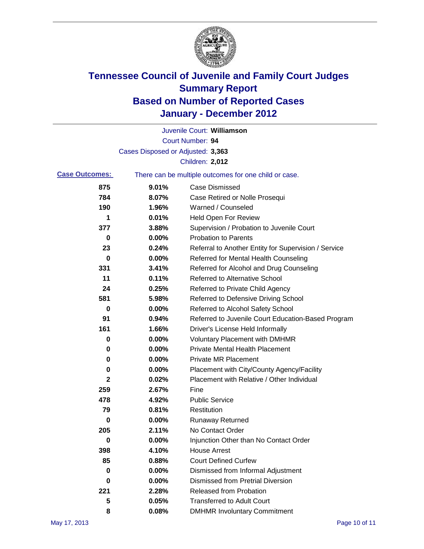

|                       |                                   | Juvenile Court: Williamson                            |
|-----------------------|-----------------------------------|-------------------------------------------------------|
|                       |                                   | Court Number: 94                                      |
|                       | Cases Disposed or Adjusted: 3,363 |                                                       |
|                       |                                   | Children: 2,012                                       |
| <b>Case Outcomes:</b> |                                   | There can be multiple outcomes for one child or case. |
| 875                   | 9.01%                             | <b>Case Dismissed</b>                                 |
| 784                   | 8.07%                             | Case Retired or Nolle Prosequi                        |
| 190                   | 1.96%                             | Warned / Counseled                                    |
| 1                     | 0.01%                             | <b>Held Open For Review</b>                           |
| 377                   | 3.88%                             | Supervision / Probation to Juvenile Court             |
| 0                     | 0.00%                             | <b>Probation to Parents</b>                           |
| 23                    | 0.24%                             | Referral to Another Entity for Supervision / Service  |
| 0                     | 0.00%                             | Referred for Mental Health Counseling                 |
| 331                   | 3.41%                             | Referred for Alcohol and Drug Counseling              |
| 11                    | 0.11%                             | <b>Referred to Alternative School</b>                 |
| 24                    | 0.25%                             | Referred to Private Child Agency                      |
| 581                   | 5.98%                             | Referred to Defensive Driving School                  |
| 0                     | 0.00%                             | Referred to Alcohol Safety School                     |
| 91                    | 0.94%                             | Referred to Juvenile Court Education-Based Program    |
| 161                   | 1.66%                             | Driver's License Held Informally                      |
| 0                     | 0.00%                             | <b>Voluntary Placement with DMHMR</b>                 |
| 0                     | 0.00%                             | <b>Private Mental Health Placement</b>                |
| 0                     | 0.00%                             | <b>Private MR Placement</b>                           |
| 0                     | 0.00%                             | Placement with City/County Agency/Facility            |
| $\mathbf 2$           | 0.02%                             | Placement with Relative / Other Individual            |
| 259                   | 2.67%                             | Fine                                                  |
| 478                   | 4.92%                             | <b>Public Service</b>                                 |
| 79                    | 0.81%                             | Restitution                                           |
| 0                     | 0.00%                             | <b>Runaway Returned</b>                               |
| 205                   | 2.11%                             | No Contact Order                                      |
| $\bf{0}$              | 0.00%                             | Injunction Other than No Contact Order                |
| 398                   | 4.10%                             | <b>House Arrest</b>                                   |
| 85                    | 0.88%                             | <b>Court Defined Curfew</b>                           |
| 0                     | 0.00%                             | Dismissed from Informal Adjustment                    |
| 0                     | 0.00%                             | <b>Dismissed from Pretrial Diversion</b>              |
| 221                   | 2.28%                             | Released from Probation                               |
| 5                     | 0.05%                             | <b>Transferred to Adult Court</b>                     |
| 8                     | 0.08%                             | <b>DMHMR Involuntary Commitment</b>                   |